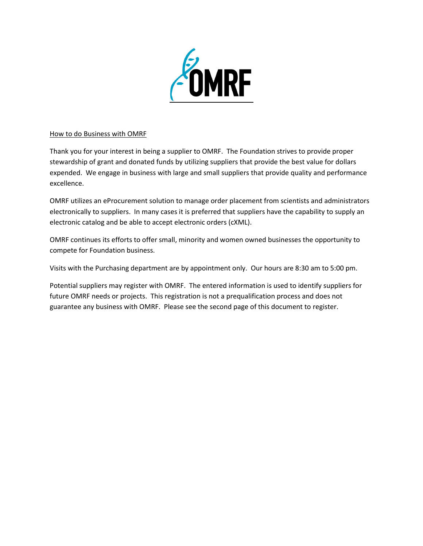

## How to do Business with OMRF

Thank you for your interest in being a supplier to OMRF. The Foundation strives to provide proper stewardship of grant and donated funds by utilizing suppliers that provide the best value for dollars expended. We engage in business with large and small suppliers that provide quality and performance excellence.

OMRF utilizes an eProcurement solution to manage order placement from scientists and administrators electronically to suppliers. In many cases it is preferred that suppliers have the capability to supply an electronic catalog and be able to accept electronic orders (cXML).

OMRF continues its efforts to offer small, minority and women owned businesses the opportunity to compete for Foundation business.

Visits with the Purchasing department are by appointment only. Our hours are 8:30 am to 5:00 pm.

Potential suppliers may register with OMRF. The entered information is used to identify suppliers for future OMRF needs or projects. This registration is not a prequalification process and does not guarantee any business with OMRF. Please see the second page of this document to register.